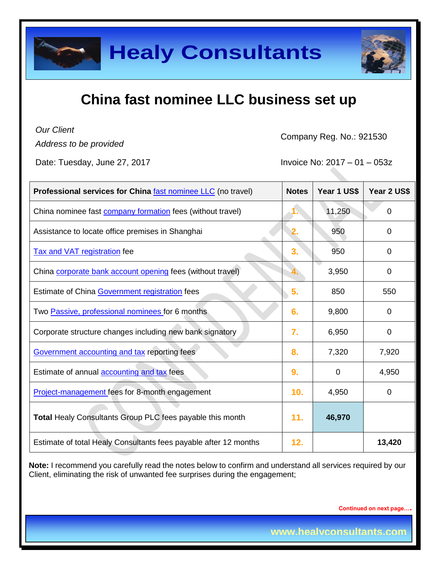

*Our Client*

*Address to be provided*

Company Reg. No.: 921530

Date: Tuesday, June 27, 2017 **Invoice No: 2017** - 01 – 053z

| Professional services for China fast nominee LLC (no travel)      | <b>Notes</b> | Year 1 US\$ | Year 2 US\$    |
|-------------------------------------------------------------------|--------------|-------------|----------------|
| China nominee fast <b>company formation</b> fees (without travel) |              | 11,250      | 0              |
| Assistance to locate office premises in Shanghai                  |              | 950         | 0              |
| Tax and VAT registration fee                                      | 3.           | 950         | 0              |
| China corporate bank account opening fees (without travel)        |              | 3,950       | $\overline{0}$ |
| Estimate of China Government registration fees                    | 5.           | 850         | 550            |
| Two Passive, professional nominees for 6 months                   | 6.           | 9,800       | 0              |
| Corporate structure changes including new bank signatory          | 7.           | 6,950       | 0              |
| Government accounting and tax reporting fees                      | 8.           | 7,320       | 7,920          |
| Estimate of annual <b>accounting and tax</b> fees                 | 9.           | 0           | 4,950          |
| Project-management fees for 8-month engagement                    | 10.          | 4,950       | 0              |
| <b>Total Healy Consultants Group PLC fees payable this month</b>  | 11.          | 46,970      |                |
| Estimate of total Healy Consultants fees payable after 12 months  | 12.          |             | 13,420         |

**Note:** I recommend you carefully read the notes below to confirm and understand all services required by our Client, eliminating the risk of unwanted fee surprises during the engagement;

**Continued on next page….**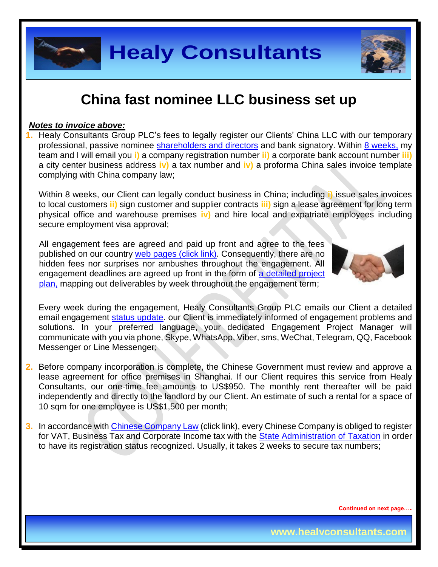

#### *Notes to invoice above:*

**1.** Healy Consultants Group PLC's fees to legally register our Clients' China LLC with our temporary professional, passive nominee [shareholders and directors](http://www.healyconsultants.com/corporate-advisory-services/nominee-shareholders-directors/) and bank signatory. Within [8 weeks,](http://www.healyconsultants.com/china-company-registration/fees-timelines/) my team and I will email you **i)** a company registration number **ii)** a corporate bank account number **iii)** a city center business address **iv)** a tax number and **iv)** a proforma China sales invoice template complying with China company law;

Within 8 weeks, our Client can legally conduct business in China; including **i)** issue sales invoices to local customers **ii)** sign customer and supplier contracts **iii)** sign a lease agreement for long term physical office and warehouse premises **iv)** and hire local and expatriate employees including secure employment visa approval;

All engagement fees are agreed and paid up front and agree to the fees published on our country [web pages](http://www.healyconsultants.com/turnkey-solutions/) (click link). Consequently, there are no hidden fees nor surprises nor ambushes throughout the engagement. All engagement deadlines are agreed up front in the form of a detailed project [plan,](http://www.healyconsultants.com/example-detailed-project-plan/) mapping out deliverables by week throughout the engagement term;



Every week during the engagement, Healy Consultants Group PLC emails our Client a detailed email engagement status update, our Client is immediately informed of engagement problems and solutions. In your preferred language, your dedicated Engagement Project Manager will communicate with you via phone, Skype, WhatsApp, Viber, sms, WeChat, Telegram, QQ, Facebook Messenger or Line Messenger;

- **2.** Before company incorporation is complete, the Chinese Government must review and approve a lease agreement for office premises in Shanghai. If our Client requires this service from Healy Consultants, our one-time fee amounts to US\$950. The monthly rent thereafter will be paid independently and directly to the landlord by our Client. An estimate of such a rental for a space of 10 sqm for one employee is US\$1,500 per month;
- **3.** In accordance with [Chinese Company Law](http://www.china.org.cn/government/laws/2007-06/06/content_1207345.htm) (click link), every Chinese Company is obliged to register for VAT, Business Tax and Corporate Income tax with the [State Administration of Taxation](http://www.chinatax.gov.cn/2013/n2925/) in order to have its registration status recognized. Usually, it takes 2 weeks to secure tax numbers;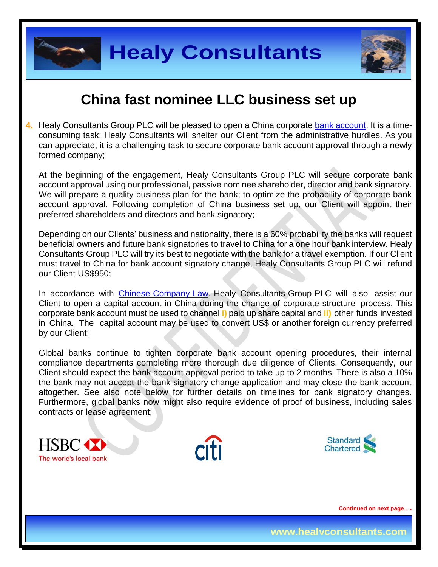

**4.** Healy Consultants Group PLC will be pleased to open a China corporate [bank account.](http://www.healyconsultants.com/china-company-registration-guide/china-corporate-bank-account-without-local-company/) It is a timeconsuming task; Healy Consultants will shelter our Client from the administrative hurdles. As you can appreciate, it is a challenging task to secure corporate bank account approval through a newly formed company;

At the beginning of the engagement, Healy Consultants Group PLC will secure corporate bank account approval using our professional, passive nominee shareholder, director and bank signatory. We will prepare a quality business plan for the bank; to optimize the probability of corporate bank account approval. Following completion of China business set up, our Client will appoint their preferred shareholders and directors and bank signatory;

Depending on our Clients' business and nationality, there is a 60% probability the banks will request beneficial owners and future bank signatories to travel to China for a one hour bank interview. Healy Consultants Group PLC will try its best to negotiate with the bank for a travel exemption. If our Client must travel to China for bank account signatory change, Healy Consultants Group PLC will refund our Client US\$950;

In accordance with [Chinese Company Law,](http://www.china.org.cn/government/laws/2007-06/06/content_1207345.htm) Healy Consultants Group PLC will also assist our Client to open a capital account in China during the change of corporate structure process. This corporate bank account must be used to channel **i)** paid up share capital and **ii)** other funds invested in China. The capital account may be used to convert US\$ or another foreign currency preferred by our Client;

Global banks continue to tighten corporate bank account opening procedures, their internal compliance departments completing more thorough due diligence of Clients. Consequently, our Client should expect the bank account approval period to take up to 2 months. There is also a 10% the bank may not accept the bank signatory change application and may close the bank account altogether. See also note below for further details on timelines for bank signatory changes. Furthermore, global banks now might also require evidence of proof of business, including sales contracts or lease agreement;





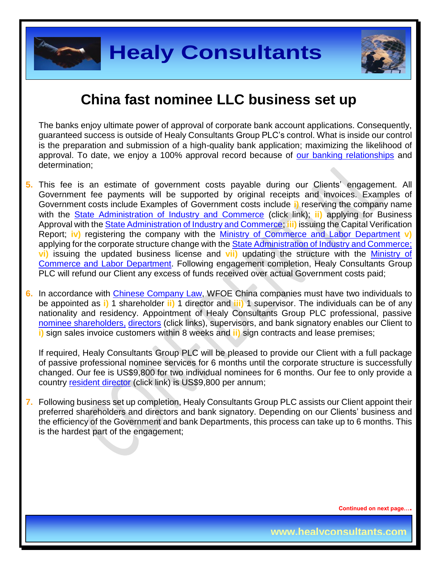



The banks enjoy ultimate power of approval of corporate bank account applications. Consequently, guaranteed success is outside of Healy Consultants Group PLC's control. What is inside our control is the preparation and submission of a high-quality bank application; maximizing the likelihood of approval. To date, we enjoy a 100% approval record because of [our banking relationships](http://www.healyconsultants.com/international-banking/corporate-accounts/) and determination;

- **5.** This fee is an estimate of government costs payable during our Clients' engagement. All Government fee payments will be supported by original receipts and invoices. Examples of Government costs include Examples of Government costs include **i)** reserving the company name with the [State Administration of Industry and Commerce](http://www.saic.gov.cn/english/) (click link); **ii)** applying for Business Approval with the [State Administration of Industry and Commerce;](http://www.saic.gov.cn/english/) **iii)** issuing the Capital Verification Report; **iv)** registering the company with the [Ministry of Commerce and Labor Department](http://english.mofcom.gov.cn/aarticle/policyrelease/internationalpolicy/200703/20070304475283.html) **v)** applying for the corporate structure change with the **State Administration of Industry and Commerce**; **vi)** issuing the updated business license and **vii)** updating the structure with the [Ministry of](http://english.mofcom.gov.cn/aarticle/policyrelease/internationalpolicy/200703/20070304475283.html)  [Commerce and Labor Department.](http://english.mofcom.gov.cn/aarticle/policyrelease/internationalpolicy/200703/20070304475283.html) Following engagement completion, Healy Consultants Group PLC will refund our Client any excess of funds received over actual Government costs paid;
- **6.** In accordance with [Chinese Company](http://www.china.org.cn/government/laws/2007-06/06/content_1207345.htm) Law, WFOE China companies must have two individuals to be appointed as **i)** 1 shareholder **ii)** 1 director and **iii)** 1 supervisor. The individuals can be of any nationality and residency. Appointment of Healy Consultants Group PLC professional, passive [nominee shareholders,](http://www.healyconsultants.com/corporate-advisory-services/nominee-shareholders-directors/national-shareholder-services/) [directors](http://www.healyconsultants.com/corporate-advisory-services/nominee-shareholders-directors/resident-director-services/) (click links), supervisors, and bank signatory enables our Client to **i)** sign sales invoice customers within 8 weeks and **ii)** sign contracts and lease premises;

If required, Healy Consultants Group PLC will be pleased to provide our Client with a full package of passive professional nominee services for 6 months until the corporate structure is successfully changed. Our fee is US\$9,800 for two individual nominees for 6 months. Our fee to only provide a country [resident director](http://www.healyconsultants.com/corporate-advisory-services/nominee-shareholders-directors/resident-director-services/) (click link) is US\$9,800 per annum;

**7.** Following business set up completion, Healy Consultants Group PLC assists our Client appoint their preferred shareholders and directors and bank signatory. Depending on our Clients' business and the efficiency of the Government and bank Departments, this process can take up to 6 months. This is the hardest part of the engagement;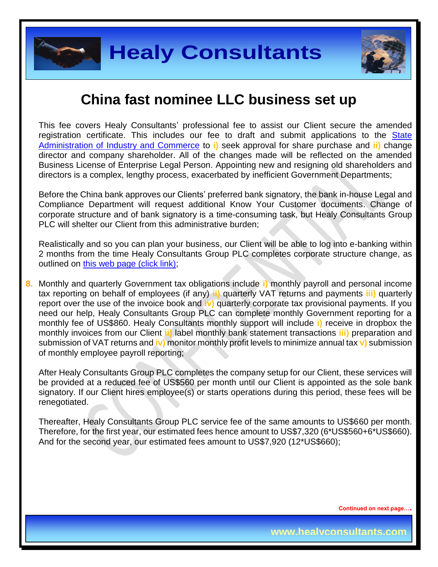



This fee covers Healy Consultants' professional fee to assist our Client secure the amended registration certificate. This includes our fee to draft and submit applications to the [State](http://www.saic.gov.cn/english/)  [Administration of Industry and Commerce](http://www.saic.gov.cn/english/) to **i)** seek approval for share purchase and **ii)** change director and company shareholder. All of the changes made will be reflected on the amended Business License of Enterprise Legal Person. Appointing new and resigning old shareholders and directors is a complex, lengthy process, exacerbated by inefficient Government Departments;

Before the China bank approves our Clients' preferred bank signatory, the bank in-house Legal and Compliance Department will request additional Know Your Customer documents. Change of corporate structure and of bank signatory is a time-consuming task, but Healy Consultants Group PLC will shelter our Client from this administrative burden:

Realistically and so you can plan your business, our Client will be able to log into e-banking within 2 months from the time Healy Consultants Group PLC completes corporate structure change, as outlined on [this web page \(click link\);](http://www.healyconsultants.com/turnkey-solutions/)

**8.** Monthly and quarterly Government tax obligations include **i)** monthly payroll and personal income tax reporting on behalf of employees (if any) **ii)** quarterly VAT returns and payments **iii)** quarterly report over the use of the invoice book and **iv)** quarterly corporate tax provisional payments. If you need our help, Healy Consultants Group PLC can complete monthly Government reporting for a monthly fee of US\$860. Healy Consultants monthly support will include **i)** receive in dropbox the monthly invoices from our Client **ii)** label monthly bank statement transactions **iii)** preparation and submission of VAT returns and **iv)** monitor monthly profit levels to minimize annual tax **v)** submission of monthly employee payroll reporting;

After Healy Consultants Group PLC completes the company setup for our Client, these services will be provided at a reduced fee of US\$560 per month until our Client is appointed as the sole bank signatory. If our Client hires employee(s) or starts operations during this period, these fees will be renegotiated.

Thereafter, Healy Consultants Group PLC service fee of the same amounts to US\$660 per month. Therefore, for the first year, our estimated fees hence amount to US\$7,320 (6\*US\$560+6\*US\$660). And for the second year, our estimated fees amount to US\$7,920 (12\*US\$660);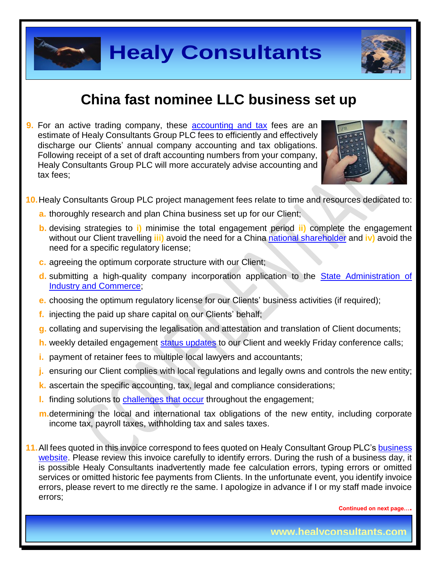



**9.** For an active trading company, these [accounting and tax](http://www.healyconsultants.com/china-company-registration-guide/accounting-legal/) fees are an estimate of Healy Consultants Group PLC fees to efficiently and effectively discharge our Clients' annual company accounting and tax obligations. Following receipt of a set of draft accounting numbers from your company, Healy Consultants Group PLC will more accurately advise accounting and tax fees;



- **10.**Healy Consultants Group PLC project management fees relate to time and resources dedicated to:
	- **a.** thoroughly research and plan China business set up for our Client;
	- **b.** devising strategies to **i)** minimise the total engagement period **ii)** complete the engagement without our Client travelling **iii)** avoid the need for a China national [shareholder](http://www.healyconsultants.com/corporate-advisory-services/nominee-shareholders-directors/national-shareholder-services/) and **iv)** avoid the need for a specific regulatory license;
	- **c.** agreeing the optimum corporate structure with our Client;
	- **d.** submitting a high-quality company incorporation application to the [State Administration of](http://www.saic.gov.cn/english/)  [Industry and Commerce;](http://www.saic.gov.cn/english/)
	- **e.** choosing the optimum regulatory license for our Clients' business activities (if required);
	- **f.** injecting the paid up share capital on our Clients' behalf;
	- **g.** collating and supervising the legalisation and attestation and translation of Client documents;
	- **h.** weekly detailed engagement [status updates](http://www.healyconsultants.com/index-important-links/weekly-engagement-status-email/) to our Client and weekly Friday conference calls;
	- **i.** payment of retainer fees to multiple local lawyers and accountants;
	- **j.** ensuring our Client complies with local regulations and legally owns and controls the new entity;
	- **k.** ascertain the specific accounting, tax, legal and compliance considerations;
	- **l.** finding solutions to [challenges that occur](http://www.healyconsultants.com/engagement-project-management/) throughout the engagement;
	- **m.**determining the local and international tax obligations of the new entity, including corporate income tax, payroll taxes, withholding tax and sales taxes.
- **11.**All fees quoted in this invoice correspond to fees quoted on Healy Consultant Group PLC's [business](http://www.healyconsultants.com/india-company-registration/)  [website.](http://www.healyconsultants.com/india-company-registration/) Please review this invoice carefully to identify errors. During the rush of a business day, it is possible Healy Consultants inadvertently made fee calculation errors, typing errors or omitted services or omitted historic fee payments from Clients. In the unfortunate event, you identify invoice errors, please revert to me directly re the same. I apologize in advance if I or my staff made invoice errors;

**Continued on next page….**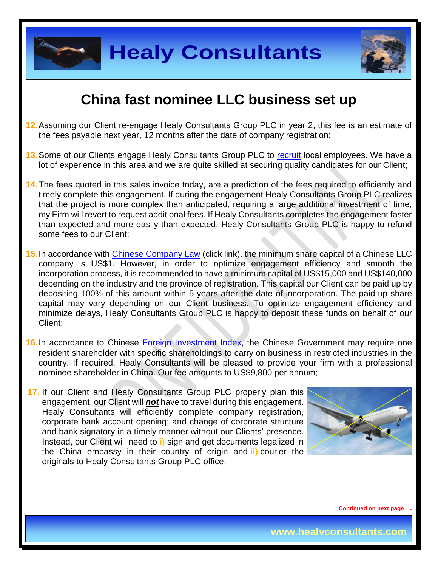

**Healy Consultants**



# **China fast nominee LLC business set up**

- **12.**Assuming our Client re-engage Healy Consultants Group PLC in year 2, this fee is an estimate of the fees payable next year, 12 months after the date of company registration;
- **13.**Some of our Clients engage Healy Consultants Group PLC to [recruit](http://www.healyconsultants.com/corporate-outsourcing-services/how-we-help-our-clients-recruit-quality-employees/) local employees. We have a lot of experience in this area and we are quite skilled at securing quality candidates for our Client;
- **14.**The fees quoted in this sales invoice today, are a prediction of the fees required to efficiently and timely complete this engagement. If during the engagement Healy Consultants Group PLC realizes that the project is more complex than anticipated, requiring a large additional investment of time, my Firm will revert to request additional fees. If Healy Consultants completes the engagement faster than expected and more easily than expected, Healy Consultants Group PLC is happy to refund some fees to our Client;
- **15.**In accordance with [Chinese Company Law](http://www.china.org.cn/government/laws/2007-06/06/content_1207345.htm) (click link), the minimum share capital of a Chinese LLC company is US\$1. However, in order to optimize engagement efficiency and smooth the incorporation process, it is recommended to have a minimum capital of US\$15,000 and US\$140,000 depending on the industry and the province of registration. This capital our Client can be paid up by depositing 100% of this amount within 5 years after the date of incorporation. The paid-up share capital may vary depending on our Client business. To optimize engagement efficiency and minimize delays, Healy Consultants Group PLC is happy to deposit these funds on behalf of our Client;
- **16.** In accordance to Chinese [Foreign Investment Index,](http://www.ndrc.gov.cn/zcfb/zcfbl/201503/W020150402620481787669.pdf) the Chinese Government may require one resident shareholder with specific shareholdings to carry on business in restricted industries in the country. If required, Healy Consultants will be pleased to provide your firm with a professional nominee shareholder in China. Our fee amounts to US\$9,800 per annum;
- **17.** If our Client and Healy Consultants Group PLC properly plan this engagement, our Client will *not* have to travel during this engagement. Healy Consultants will efficiently complete company registration, corporate bank account opening; and change of corporate structure and bank signatory in a timely manner without our Clients' presence. Instead, our Client will need to **i)** sign and get documents legalized in the China embassy in their country of origin and **ii)** courier the originals to Healy Consultants Group PLC office;

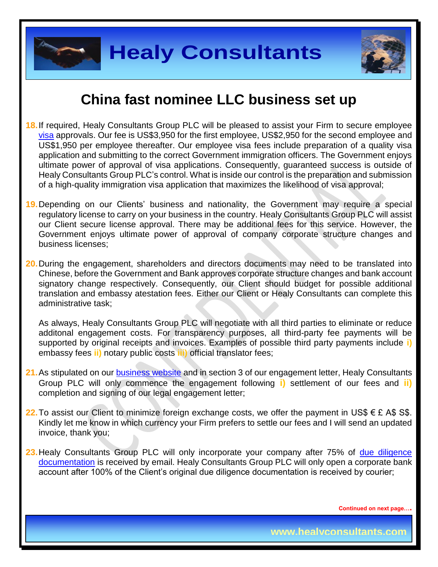



- **18.**If required, Healy Consultants Group PLC will be pleased to assist your Firm to secure employee [visa](http://www.healyconsultants.com/china-company-registration/formation-support-services/) approvals. Our fee is US\$3,950 for the first employee, US\$2,950 for the second employee and US\$1,950 per employee thereafter. Our employee visa fees include preparation of a quality visa application and submitting to the correct Government immigration officers. The Government enjoys ultimate power of approval of visa applications. Consequently, guaranteed success is outside of Healy Consultants Group PLC's control. What is inside our control is the preparation and submission of a high-quality immigration visa application that maximizes the likelihood of visa approval;
- **19.**Depending on our Clients' business and nationality, the Government may require a special regulatory license to carry on your business in the country. Healy Consultants Group PLC will assist our Client secure license approval. There may be additional fees for this service. However, the Government enjoys ultimate power of approval of company corporate structure changes and business licenses;
- **20.**During the engagement, shareholders and directors documents may need to be translated into Chinese, before the Government and Bank approves corporate structure changes and bank account signatory change respectively. Consequently, our Client should budget for possible additional translation and embassy atestation fees. Either our Client or Healy Consultants can complete this administrative task;

As always, Healy Consultants Group PLC will negotiate with all third parties to eliminate or reduce additonal engagement costs. For transparency purposes, all third-party fee payments will be supported by original receipts and invoices. Examples of possible third party payments include **i)** embassy fees **ii)** notary public costs **iii)** official translator fees;

- 21. As stipulated on our [business website](http://www.healyconsultants.com/) and in section 3 of our engagement letter, Healy Consultants Group PLC will only commence the engagement following **i)** settlement of our fees and **ii)** completion and signing of our legal engagement letter;
- **22.** To assist our Client to minimize foreign exchange costs, we offer the payment in US\$ € £ A\$ S\$. Kindly let me know in which currency your Firm prefers to settle our fees and I will send an updated invoice, thank you;
- 23. Healy Consultants Group PLC will only incorporate your company after 75% of due diligence [documentation](http://www.healyconsultants.com/due-diligence/) is received by email. Healy Consultants Group PLC will only open a corporate bank account after 100% of the Client's original due diligence documentation is received by courier;

**Continued on next page….**